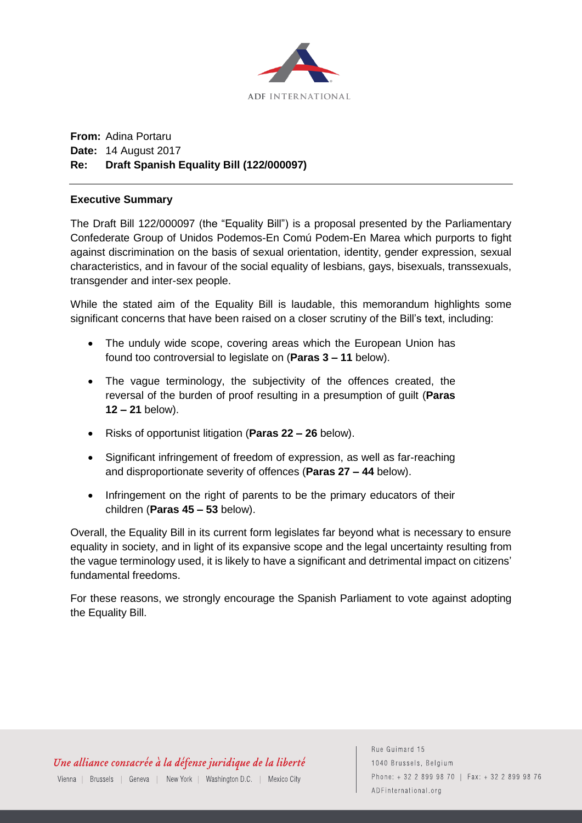

# **From:** Adina Portaru **Date:** 14 August 2017 **Re: Draft Spanish Equality Bill (122/000097)**

# **Executive Summary**

The Draft Bill 122/000097 (the "Equality Bill") is a proposal presented by the Parliamentary Confederate Group of Unidos Podemos-En Comú Podem-En Marea which purports to fight against discrimination on the basis of sexual orientation, identity, gender expression, sexual characteristics, and in favour of the social equality of lesbians, gays, bisexuals, transsexuals, transgender and inter-sex people.

While the stated aim of the Equality Bill is laudable, this memorandum highlights some significant concerns that have been raised on a closer scrutiny of the Bill's text, including:

- The unduly wide scope, covering areas which the European Union has found too controversial to legislate on (**Paras 3 – 11** below).
- The vague terminology, the subjectivity of the offences created, the reversal of the burden of proof resulting in a presumption of guilt (**Paras 12 – 21** below).
- Risks of opportunist litigation (**Paras 22 – 26** below).
- Significant infringement of freedom of expression, as well as far-reaching and disproportionate severity of offences (**Paras 27 – 44** below).
- Infringement on the right of parents to be the primary educators of their children (**Paras 45 – 53** below).

Overall, the Equality Bill in its current form legislates far beyond what is necessary to ensure equality in society, and in light of its expansive scope and the legal uncertainty resulting from the vague terminology used, it is likely to have a significant and detrimental impact on citizens' fundamental freedoms.

For these reasons, we strongly encourage the Spanish Parliament to vote against adopting the Equality Bill.

Rue Guimard 15 1040 Brussels, Belgium Phone: +32 2 899 98 70 | Fax: +32 2 899 98 76 ADFinternational.org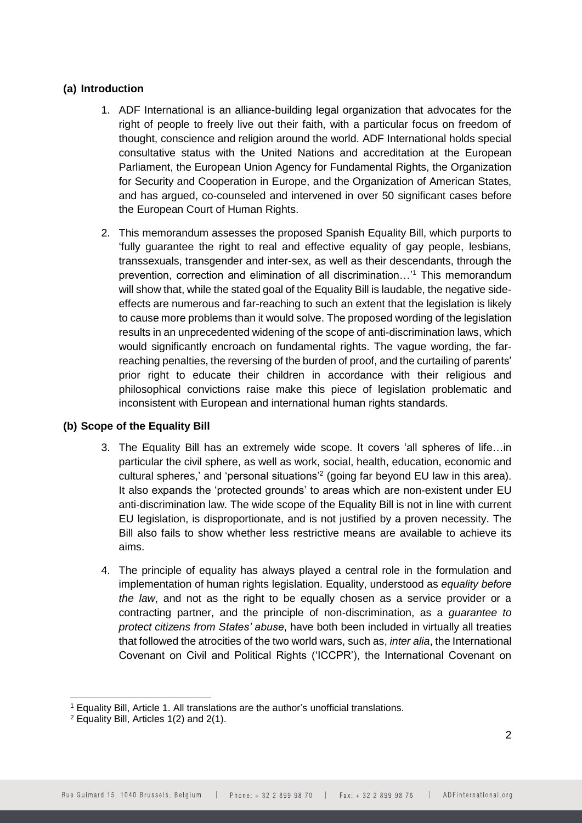# **(a) Introduction**

- 1. ADF International is an alliance-building legal organization that advocates for the right of people to freely live out their faith, with a particular focus on freedom of thought, conscience and religion around the world. ADF International holds special consultative status with the United Nations and accreditation at the European Parliament, the European Union Agency for Fundamental Rights, the Organization for Security and Cooperation in Europe, and the Organization of American States, and has argued, co-counseled and intervened in over 50 significant cases before the European Court of Human Rights.
- 2. This memorandum assesses the proposed Spanish Equality Bill, which purports to 'fully guarantee the right to real and effective equality of gay people, lesbians, transsexuals, transgender and inter-sex, as well as their descendants, through the prevention, correction and elimination of all discrimination…'<sup>1</sup> This memorandum will show that, while the stated goal of the Equality Bill is laudable, the negative sideeffects are numerous and far-reaching to such an extent that the legislation is likely to cause more problems than it would solve. The proposed wording of the legislation results in an unprecedented widening of the scope of anti-discrimination laws, which would significantly encroach on fundamental rights. The vague wording, the farreaching penalties, the reversing of the burden of proof, and the curtailing of parents' prior right to educate their children in accordance with their religious and philosophical convictions raise make this piece of legislation problematic and inconsistent with European and international human rights standards.

# **(b) Scope of the Equality Bill**

- 3. The Equality Bill has an extremely wide scope. It covers 'all spheres of life…in particular the civil sphere, as well as work, social, health, education, economic and cultural spheres,' and 'personal situations'<sup>2</sup> (going far beyond EU law in this area). It also expands the 'protected grounds' to areas which are non-existent under EU anti-discrimination law. The wide scope of the Equality Bill is not in line with current EU legislation, is disproportionate, and is not justified by a proven necessity. The Bill also fails to show whether less restrictive means are available to achieve its aims.
- 4. The principle of equality has always played a central role in the formulation and implementation of human rights legislation. Equality, understood as *equality before the law*, and not as the right to be equally chosen as a service provider or a contracting partner, and the principle of non-discrimination, as a *guarantee to protect citizens from States' abuse*, have both been included in virtually all treaties that followed the atrocities of the two world wars, such as, *inter alia*, the International Covenant on Civil and Political Rights ('ICCPR'), the International Covenant on

<sup>-</sup><sup>1</sup> Equality Bill, Article 1. All translations are the author's unofficial translations.

<sup>2</sup> Equality Bill, Articles 1(2) and 2(1).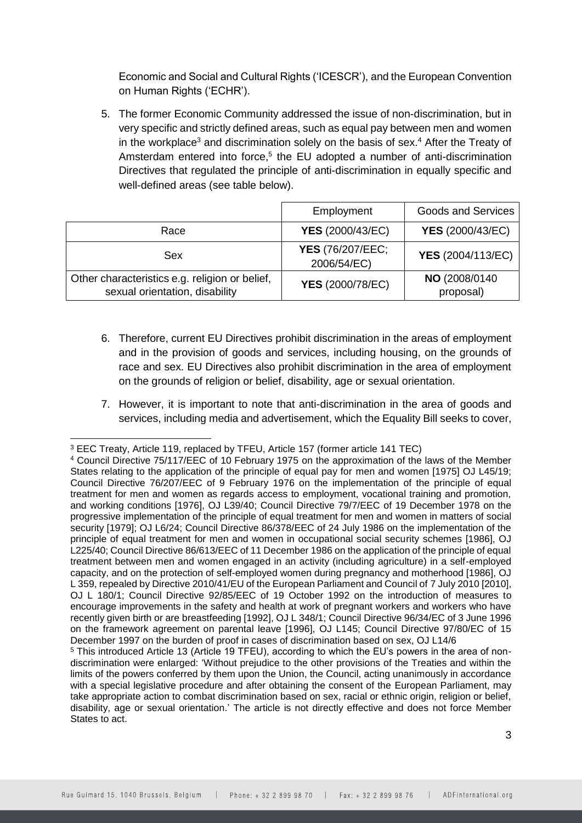Economic and Social and Cultural Rights ('ICESCR'), and the European Convention on Human Rights ('ECHR').

5. The former Economic Community addressed the issue of non-discrimination, but in very specific and strictly defined areas, such as equal pay between men and women in the workplace<sup>3</sup> and discrimination solely on the basis of sex.<sup>4</sup> After the Treaty of Amsterdam entered into force,<sup>5</sup> the EU adopted a number of anti-discrimination Directives that regulated the principle of anti-discrimination in equally specific and well-defined areas (see table below).

|                                                                                  | Employment                             | <b>Goods and Services</b>  |
|----------------------------------------------------------------------------------|----------------------------------------|----------------------------|
| Race                                                                             | <b>YES</b> (2000/43/EC)                | <b>YES</b> (2000/43/EC)    |
| Sex                                                                              | <b>YES</b> (76/207/EEC;<br>2006/54/EC) | <b>YES</b> (2004/113/EC)   |
| Other characteristics e.g. religion or belief,<br>sexual orientation, disability | <b>YES</b> (2000/78/EC)                | NO (2008/0140<br>proposal) |

- 6. Therefore, current EU Directives prohibit discrimination in the areas of employment and in the provision of goods and services, including housing, on the grounds of race and sex. EU Directives also prohibit discrimination in the area of employment on the grounds of religion or belief, disability, age or sexual orientation.
- 7. However, it is important to note that anti-discrimination in the area of goods and services, including media and advertisement, which the Equality Bill seeks to cover,

<sup>-</sup><sup>3</sup> EEC Treaty, Article 119, replaced by TFEU, Article 157 (former article 141 TEC)

<sup>4</sup> Council Directive 75/117/EEC of 10 February 1975 on the approximation of the laws of the Member States relating to the application of the principle of equal pay for men and women [1975] OJ L45/19; Council Directive 76/207/EEC of 9 February 1976 on the implementation of the principle of equal treatment for men and women as regards access to employment, vocational training and promotion, and working conditions [1976], OJ L39/40; Council Directive 79/7/EEC of 19 December 1978 on the progressive implementation of the principle of equal treatment for men and women in matters of social security [1979]; OJ L6/24; Council Directive 86/378/EEC of 24 July 1986 on the implementation of the principle of equal treatment for men and women in occupational social security schemes [1986], OJ L225/40; Council Directive 86/613/EEC of 11 December 1986 on the application of the principle of equal treatment between men and women engaged in an activity (including agriculture) in a self-employed capacity, and on the protection of self-employed women during pregnancy and motherhood [1986], OJ L 359, repealed by Directive 2010/41/EU of the European Parliament and Council of 7 July 2010 [2010], OJ L 180/1; Council Directive 92/85/EEC of 19 October 1992 on the introduction of measures to encourage improvements in the safety and health at work of pregnant workers and workers who have recently given birth or are breastfeeding [1992], OJ L 348/1; Council Directive 96/34/EC of 3 June 1996 on the framework agreement on parental leave [1996], OJ L145; Council Directive 97/80/EC of 15 December 1997 on the burden of proof in cases of discrimination based on sex, OJ L14/6

<sup>5</sup> This introduced Article 13 (Article 19 TFEU), according to which the EU's powers in the area of nondiscrimination were enlarged: 'Without prejudice to the other provisions of the Treaties and within the limits of the powers conferred by them upon the Union, the Council, acting unanimously in accordance with a special legislative procedure and after obtaining the consent of the European Parliament, may take appropriate action to combat discrimination based on sex, racial or ethnic origin, religion or belief, disability, age or sexual orientation.' The article is not directly effective and does not force Member States to act.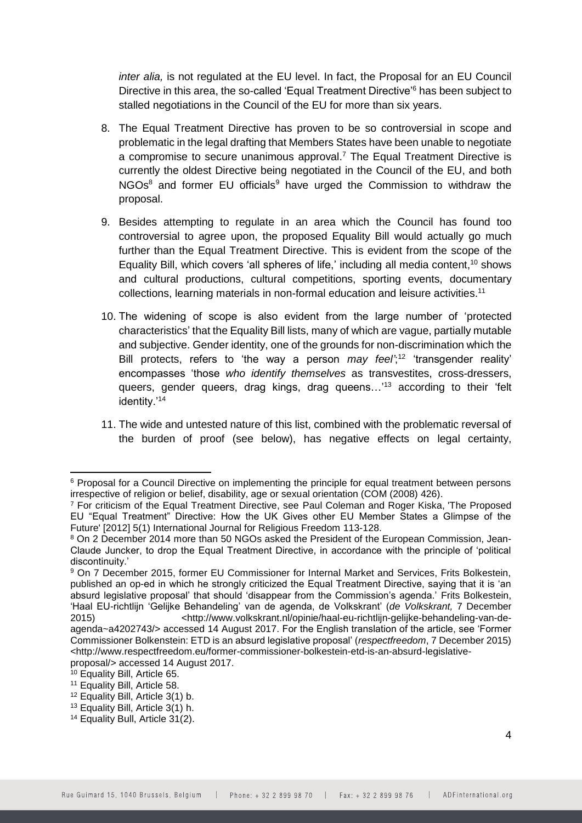*inter alia,* is not regulated at the EU level. In fact, the Proposal for an EU Council Directive in this area, the so-called 'Equal Treatment Directive'<sup>6</sup> has been subject to stalled negotiations in the Council of the EU for more than six years.

- 8. The Equal Treatment Directive has proven to be so controversial in scope and problematic in the legal drafting that Members States have been unable to negotiate a compromise to secure unanimous approval.<sup>7</sup> The Equal Treatment Directive is currently the oldest Directive being negotiated in the Council of the EU, and both NGOs<sup>8</sup> and former EU officials<sup>9</sup> have urged the Commission to withdraw the proposal.
- 9. Besides attempting to regulate in an area which the Council has found too controversial to agree upon, the proposed Equality Bill would actually go much further than the Equal Treatment Directive. This is evident from the scope of the Equality Bill, which covers 'all spheres of life,' including all media content,<sup>10</sup> shows and cultural productions, cultural competitions, sporting events, documentary collections, learning materials in non-formal education and leisure activities.<sup>11</sup>
- 10. The widening of scope is also evident from the large number of 'protected characteristics' that the Equality Bill lists, many of which are vague, partially mutable and subjective. Gender identity, one of the grounds for non-discrimination which the Bill protects, refers to 'the way a person *may feel'*; <sup>12</sup> 'transgender reality' encompasses 'those *who identify themselves* as transvestites, cross-dressers, queers, gender queers, drag kings, drag queens...<sup>'13</sup> according to their 'felt identity.'<sup>14</sup>
- 11. The wide and untested nature of this list, combined with the problematic reversal of the burden of proof (see below), has negative effects on legal certainty,

<sup>6</sup> Proposal for a Council Directive on implementing the principle for equal treatment between persons irrespective of religion or belief, disability, age or sexual orientation (COM (2008) 426).

<sup>7</sup> For criticism of the Equal Treatment Directive, see Paul Coleman and Roger Kiska, 'The Proposed EU "Equal Treatment" Directive: How the UK Gives other EU Member States a Glimpse of the Future' [2012] 5(1) International Journal for Religious Freedom 113-128.

<sup>8</sup> On 2 December 2014 more than 50 NGOs asked the President of the European Commission, Jean-Claude Juncker, to drop the Equal Treatment Directive, in accordance with the principle of 'political discontinuity.'

<sup>9</sup> On 7 December 2015, former EU Commissioner for Internal Market and Services, Frits Bolkestein, published an op-ed in which he strongly criticized the Equal Treatment Directive, saying that it is 'an absurd legislative proposal' that should 'disappear from the Commission's agenda.' Frits Bolkestein, 'Haal EU-richtlijn 'Gelijke Behandeling' van de agenda, de Volkskrant' (*de Volkskrant,* 7 December 2015) <http://www.volkskrant.nl/opinie/haal-eu-richtlijn-gelijke-behandeling-van-deagenda~a4202743/> accessed 14 August 2017. For the English translation of the article, see 'Former Commissioner Bolkenstein: ETD is an absurd legislative proposal' (*respectfreedom*, 7 December 2015)

<sup>&</sup>lt;http://www.respectfreedom.eu/former-commissioner-bolkestein-etd-is-an-absurd-legislativeproposal/> accessed 14 August 2017.

<sup>10</sup> Equality Bill, Article 65.

<sup>11</sup> Equality Bill, Article 58.

<sup>12</sup> Equality Bill, Article 3(1) b.

<sup>13</sup> Equality Bill, Article 3(1) h.

<sup>14</sup> Equality Bull, Article 31(2).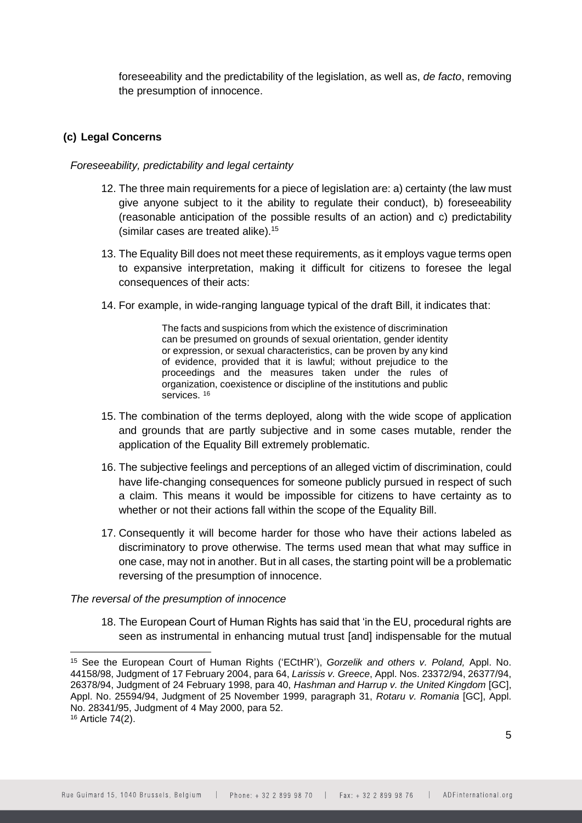foreseeability and the predictability of the legislation, as well as, *de facto*, removing the presumption of innocence.

# **(c) Legal Concerns**

## *Foreseeability, predictability and legal certainty*

- 12. The three main requirements for a piece of legislation are: a) certainty (the law must give anyone subject to it the ability to regulate their conduct), b) foreseeability (reasonable anticipation of the possible results of an action) and c) predictability (similar cases are treated alike).<sup>15</sup>
- 13. The Equality Bill does not meet these requirements, as it employs vague terms open to expansive interpretation, making it difficult for citizens to foresee the legal consequences of their acts:
- 14. For example, in wide-ranging language typical of the draft Bill, it indicates that:

The facts and suspicions from which the existence of discrimination can be presumed on grounds of sexual orientation, gender identity or expression, or sexual characteristics, can be proven by any kind of evidence, provided that it is lawful; without prejudice to the proceedings and the measures taken under the rules of organization, coexistence or discipline of the institutions and public services.<sup>16</sup>

- 15. The combination of the terms deployed, along with the wide scope of application and grounds that are partly subjective and in some cases mutable, render the application of the Equality Bill extremely problematic.
- 16. The subjective feelings and perceptions of an alleged victim of discrimination, could have life-changing consequences for someone publicly pursued in respect of such a claim. This means it would be impossible for citizens to have certainty as to whether or not their actions fall within the scope of the Equality Bill.
- 17. Consequently it will become harder for those who have their actions labeled as discriminatory to prove otherwise. The terms used mean that what may suffice in one case, may not in another. But in all cases, the starting point will be a problematic reversing of the presumption of innocence.

## *The reversal of the presumption of innocence*

-

18. The European Court of Human Rights has said that 'in the EU, procedural rights are seen as instrumental in enhancing mutual trust [and] indispensable for the mutual

<sup>15</sup> See the European Court of Human Rights ('ECtHR'), *Gorzelik and others v. Poland,* Appl. No. 44158/98, Judgment of 17 February 2004, para 64, *Larissis v. Greece*, Appl. Nos. 23372/94, 26377/94, 26378/94, Judgment of 24 February 1998, para 40, *Hashman and Harrup v. the United Kingdom* [GC], Appl. No. 25594/94, Judgment of 25 November 1999, paragraph 31, *Rotaru v. Romania* [GC], Appl. No. 28341/95, Judgment of 4 May 2000, para 52. <sup>16</sup> Article 74(2).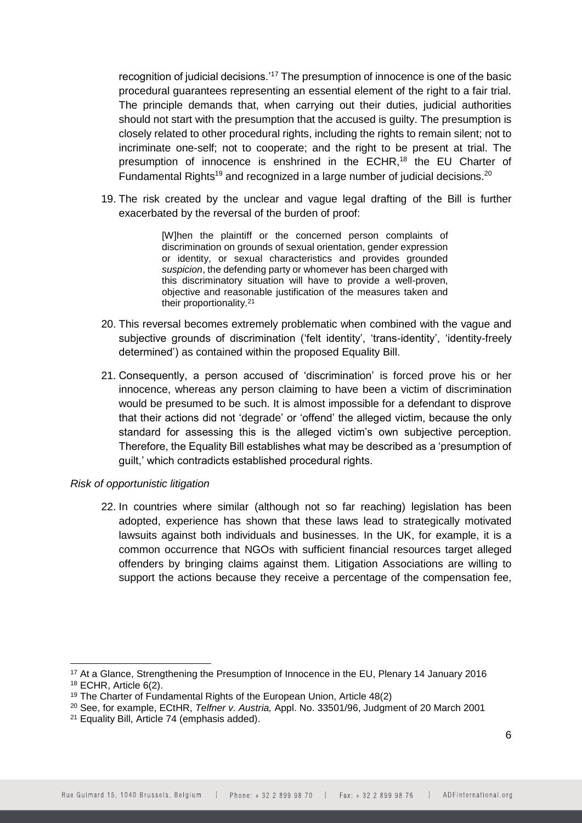recognition of judicial decisions.'<sup>17</sup> The presumption of innocence is one of the basic procedural guarantees representing an essential element of the right to a fair trial. The principle demands that, when carrying out their duties, judicial authorities should not start with the presumption that the accused is guilty. The presumption is closely related to other procedural rights, including the rights to remain silent; not to incriminate one-self; not to cooperate; and the right to be present at trial. The presumption of innocence is enshrined in the ECHR,<sup>18</sup> the EU Charter of Fundamental Rights<sup>19</sup> and recognized in a large number of judicial decisions.<sup>20</sup>

19. The risk created by the unclear and vague legal drafting of the Bill is further exacerbated by the reversal of the burden of proof:

> [W]hen the plaintiff or the concerned person complaints of discrimination on grounds of sexual orientation, gender expression or identity, or sexual characteristics and provides grounded *suspicion*, the defending party or whomever has been charged with this discriminatory situation will have to provide a well-proven, objective and reasonable justification of the measures taken and their proportionality.<sup>21</sup>

- 20. This reversal becomes extremely problematic when combined with the vague and subjective grounds of discrimination ('felt identity', 'trans-identity', 'identity-freely determined') as contained within the proposed Equality Bill.
- 21. Consequently, a person accused of 'discrimination' is forced prove his or her innocence, whereas any person claiming to have been a victim of discrimination would be presumed to be such. It is almost impossible for a defendant to disprove that their actions did not 'degrade' or 'offend' the alleged victim, because the only standard for assessing this is the alleged victim's own subjective perception. Therefore, the Equality Bill establishes what may be described as a 'presumption of guilt,' which contradicts established procedural rights.

#### *Risk of opportunistic litigation*

22. In countries where similar (although not so far reaching) legislation has been adopted, experience has shown that these laws lead to strategically motivated lawsuits against both individuals and businesses. In the UK, for example, it is a common occurrence that NGOs with sufficient financial resources target alleged offenders by bringing claims against them. Litigation Associations are willing to support the actions because they receive a percentage of the compensation fee,

<sup>&</sup>lt;sup>17</sup> At a Glance, Strengthening the Presumption of Innocence in the EU, Plenary 14 January 2016 <sup>18</sup> ECHR, Article 6(2).

<sup>19</sup> The Charter of Fundamental Rights of the European Union, Article 48(2)

<sup>20</sup> See, for example, ECtHR, *Telfner v. Austria,* Appl. No. 33501/96, Judgment of 20 March 2001

<sup>21</sup> Equality Bill, Article 74 (emphasis added).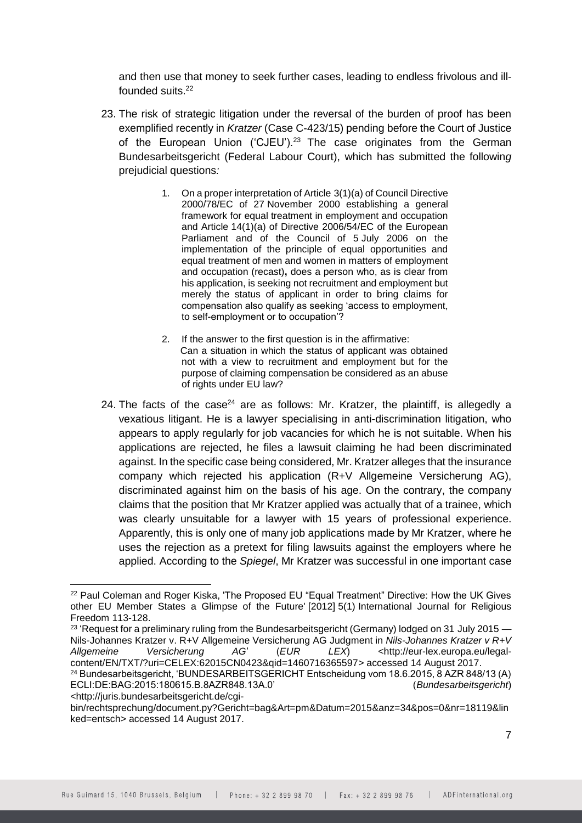and then use that money to seek further cases, leading to endless frivolous and illfounded suits.<sup>22</sup>

- 23. The risk of strategic litigation under the reversal of the burden of proof has been exemplified recently in *Kratzer* (Case C-423/15) pending before the Court of Justice of the European Union ('CJEU').<sup>23</sup> The case originates from the German Bundesarbeitsgericht (Federal Labour Court), which has submitted the followin*g*  prejudicial questions*:*
	- 1. On a proper interpretation of Article 3(1)(a) of Council Directive 2000/78/EC of 27 November 2000 establishing a general framework for equal treatment in employment and occupation and Article 14(1)(a) of Directive 2006/54/EC of the European Parliament and of the Council of 5 July 2006 on the implementation of the principle of equal opportunities and equal treatment of men and women in matters of employment and occupation (recast)**,** does a person who, as is clear from his application, is seeking not recruitment and employment but merely the status of applicant in order to bring claims for compensation also qualify as seeking 'access to employment, to self-employment or to occupation'?
	- 2. If the answer to the first question is in the affirmative: Can a situation in which the status of applicant was obtained not with a view to recruitment and employment but for the purpose of claiming compensation be considered as an abuse of rights under EU law?
- 24. The facts of the case<sup>24</sup> are as follows: Mr. Kratzer, the plaintiff, is allegedly a vexatious litigant. He is a lawyer specialising in anti-discrimination litigation, who appears to apply regularly for job vacancies for which he is not suitable. When his applications are rejected, he files a lawsuit claiming he had been discriminated against. In the specific case being considered, Mr. Kratzer alleges that the insurance company which rejected his application (R+V Allgemeine Versicherung AG), discriminated against him on the basis of his age. On the contrary, the company claims that the position that Mr Kratzer applied was actually that of a trainee, which was clearly unsuitable for a lawyer with 15 years of professional experience. Apparently, this is only one of many job applications made by Mr Kratzer, where he uses the rejection as a pretext for filing lawsuits against the employers where he applied. According to the *Spiegel*, Mr Kratzer was successful in one important case

<sup>&</sup>lt;sup>22</sup> Paul Coleman and Roger Kiska, 'The Proposed EU "Equal Treatment" Directive: How the UK Gives other EU Member States a Glimpse of the Future' [2012] 5(1) International Journal for Religious Freedom 113-128.

 $^{23}$  'Request for a preliminary ruling from the Bundesarbeitsgericht (Germany) lodged on 31 July 2015 — Nils-Johannes Kratzer v. R+V Allgemeine Versicherung AG Judgment in *Nils-Johannes Kratzer v R+V*  Allgemeine Versicherung AG' (EUR LEX) <http://eur-lex.europa.eu/legalcontent/EN/TXT/?uri=CELEX:62015CN0423&qid=1460716365597> accessed 14 August 2017.

<sup>24</sup> Bundesarbeitsgericht, 'BUNDESARBEITSGERICHT Entscheidung vom 18.6.2015, 8 AZR 848/13 (A) ECLI:DE:BAG:2015:180615.B.8AZR848.13A.0' (*Bundesarbeitsgericht*) <http://juris.bundesarbeitsgericht.de/cgi-

bin/rechtsprechung/document.py?Gericht=bag&Art=pm&Datum=2015&anz=34&pos=0&nr=18119&lin ked=entsch> accessed 14 August 2017.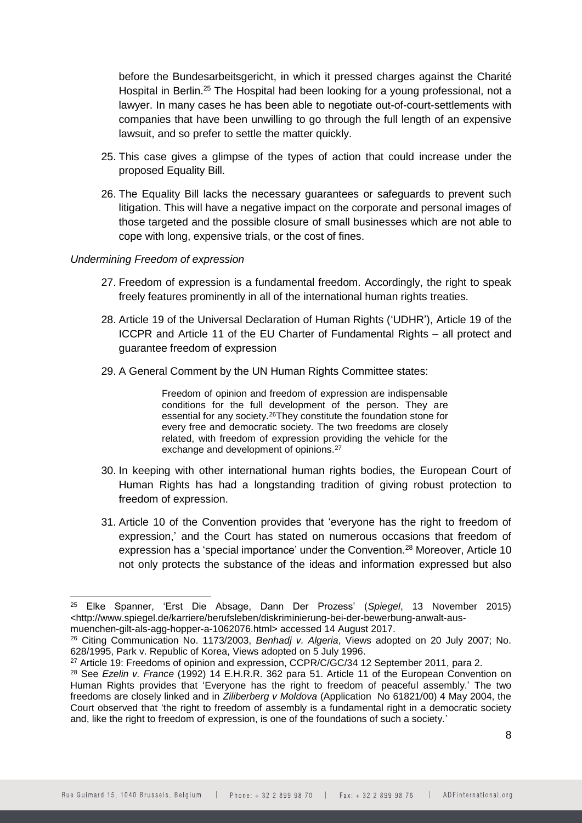before the Bundesarbeitsgericht, in which it pressed charges against the Charité Hospital in Berlin.<sup>25</sup> The Hospital had been looking for a young professional, not a lawyer. In many cases he has been able to negotiate out-of-court-settlements with companies that have been unwilling to go through the full length of an expensive lawsuit, and so prefer to settle the matter quickly.

- 25. This case gives a glimpse of the types of action that could increase under the proposed Equality Bill.
- 26. The Equality Bill lacks the necessary guarantees or safeguards to prevent such litigation. This will have a negative impact on the corporate and personal images of those targeted and the possible closure of small businesses which are not able to cope with long, expensive trials, or the cost of fines.

#### *Undermining Freedom of expression*

- 27. Freedom of expression is a fundamental freedom. Accordingly, the right to speak freely features prominently in all of the international human rights treaties.
- 28. Article 19 of the Universal Declaration of Human Rights ('UDHR'), Article 19 of the ICCPR and Article 11 of the EU Charter of Fundamental Rights – all protect and guarantee freedom of expression
- 29. A General Comment by the UN Human Rights Committee states:

Freedom of opinion and freedom of expression are indispensable conditions for the full development of the person. They are essential for any society.<sup>26</sup>They constitute the foundation stone for every free and democratic society. The two freedoms are closely related, with freedom of expression providing the vehicle for the exchange and development of opinions.<sup>27</sup>

- 30. In keeping with other international human rights bodies, the European Court of Human Rights has had a longstanding tradition of giving robust protection to freedom of expression.
- 31. Article 10 of the Convention provides that 'everyone has the right to freedom of expression,' and the Court has stated on numerous occasions that freedom of expression has a 'special importance' under the Convention.<sup>28</sup> Moreover, Article 10 not only protects the substance of the ideas and information expressed but also

<sup>-</sup><sup>25</sup> Elke Spanner, 'Erst Die Absage, Dann Der Prozess' (*Spiegel*, 13 November 2015) <http://www.spiegel.de/karriere/berufsleben/diskriminierung-bei-der-bewerbung-anwalt-ausmuenchen-gilt-als-agg-hopper-a-1062076.html> accessed 14 August 2017.

<sup>26</sup> Citing Communication No. 1173/2003, *Benhadj v. Algeria*, Views adopted on 20 July 2007; No. 628/1995, Park v. Republic of Korea, Views adopted on 5 July 1996.

<sup>&</sup>lt;sup>27</sup> Article 19: Freedoms of opinion and expression, CCPR/C/GC/34 12 September 2011, para 2.

<sup>28</sup> See *Ezelin v. France* (1992) 14 E.H.R.R. 362 para 51. Article 11 of the European Convention on Human Rights provides that 'Everyone has the right to freedom of peaceful assembly.' The two freedoms are closely linked and in *Ziliberberg v Moldova* (Application No 61821/00) 4 May 2004, the Court observed that 'the right to freedom of assembly is a fundamental right in a democratic society and, like the right to freedom of expression, is one of the foundations of such a society.'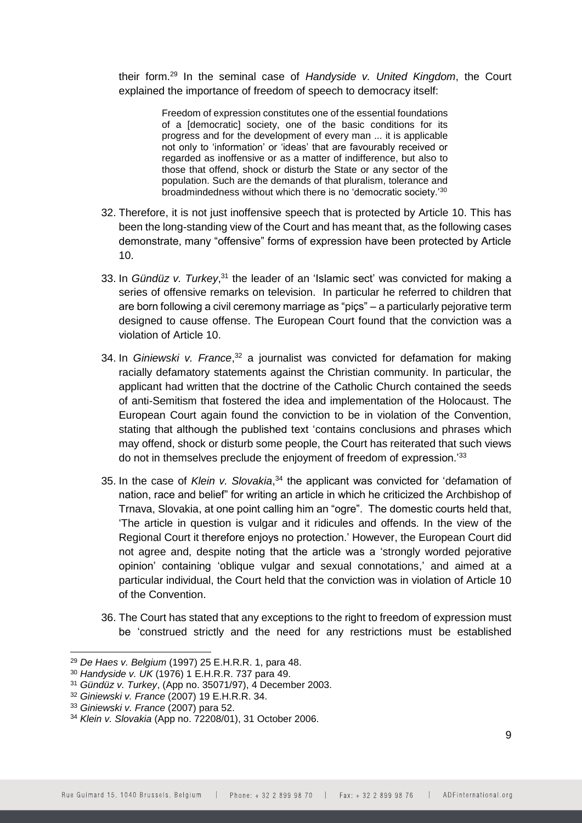their form. <sup>29</sup> In the seminal case of *Handyside v. United Kingdom*, the Court explained the importance of freedom of speech to democracy itself:

> Freedom of expression constitutes one of the essential foundations of a Idemocraticl society, one of the basic conditions for its progress and for the development of every man ... it is applicable not only to 'information' or 'ideas' that are favourably received or regarded as inoffensive or as a matter of indifference, but also to those that offend, shock or disturb the State or any sector of the population. Such are the demands of that pluralism, tolerance and broadmindedness without which there is no 'democratic society.'<sup>30</sup>

- 32. Therefore, it is not just inoffensive speech that is protected by Article 10. This has been the long-standing view of the Court and has meant that, as the following cases demonstrate, many "offensive" forms of expression have been protected by Article 10.
- 33. In *Gündüz v. Turkey*,<sup>31</sup> the leader of an 'Islamic sect' was convicted for making a series of offensive remarks on television. In particular he referred to children that are born following a civil ceremony marriage as "piçs" – a particularly pejorative term designed to cause offense. The European Court found that the conviction was a violation of Article 10.
- 34. In *Giniewski v. France*,<sup>32</sup> a journalist was convicted for defamation for making racially defamatory statements against the Christian community. In particular, the applicant had written that the doctrine of the Catholic Church contained the seeds of anti-Semitism that fostered the idea and implementation of the Holocaust. The European Court again found the conviction to be in violation of the Convention, stating that although the published text 'contains conclusions and phrases which may offend, shock or disturb some people, the Court has reiterated that such views do not in themselves preclude the enjoyment of freedom of expression.'<sup>33</sup>
- 35. In the case of *Klein v. Slovakia*, <sup>34</sup> the applicant was convicted for 'defamation of nation, race and belief" for writing an article in which he criticized the Archbishop of Trnava, Slovakia, at one point calling him an "ogre". The domestic courts held that, 'The article in question is vulgar and it ridicules and offends. In the view of the Regional Court it therefore enjoys no protection.' However, the European Court did not agree and, despite noting that the article was a 'strongly worded pejorative opinion' containing 'oblique vulgar and sexual connotations,' and aimed at a particular individual, the Court held that the conviction was in violation of Article 10 of the Convention.
- 36. The Court has stated that any exceptions to the right to freedom of expression must be 'construed strictly and the need for any restrictions must be established

<sup>29</sup> *De Haes v. Belgium* (1997) 25 E.H.R.R. 1, para 48.

<sup>30</sup> *Handyside v. UK* (1976) 1 E.H.R.R. 737 para 49.

<sup>31</sup> *Gündüz v. Turkey*, (App no. 35071/97), 4 December 2003.

<sup>32</sup> *Giniewski v. France* (2007) 19 E.H.R.R. 34.

<sup>33</sup> *Giniewski v. France* (2007) para 52.

<sup>34</sup> *Klein v. Slovakia* (App no. 72208/01), 31 October 2006.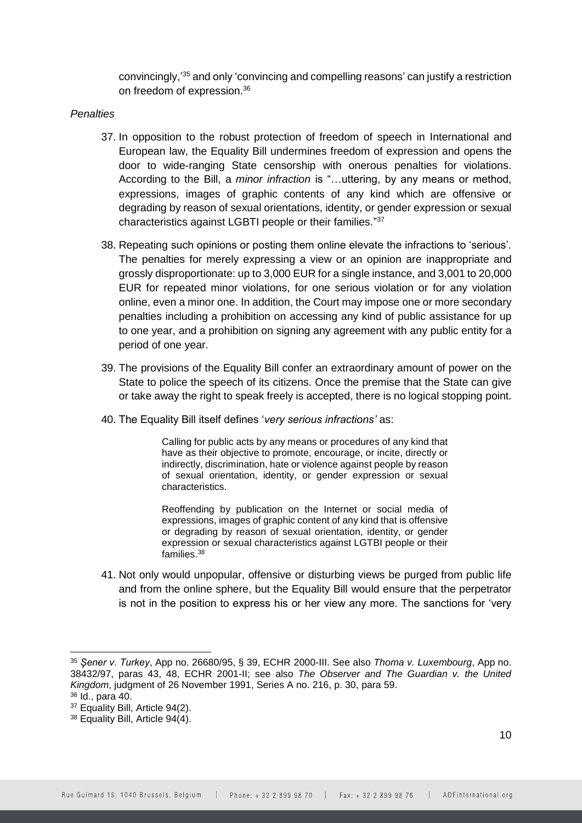convincingly,'<sup>35</sup> and only 'convincing and compelling reasons' can justify a restriction on freedom of expression.<sup>36</sup>

#### *Penalties*

- 37. In opposition to the robust protection of freedom of speech in International and European law, the Equality Bill undermines freedom of expression and opens the door to wide-ranging State censorship with onerous penalties for violations. According to the Bill, a *minor infraction* is "…uttering, by any means or method, expressions, images of graphic contents of any kind which are offensive or degrading by reason of sexual orientations, identity, or gender expression or sexual characteristics against LGBTI people or their families." 37
- 38. Repeating such opinions or posting them online elevate the infractions to 'serious'. The penalties for merely expressing a view or an opinion are inappropriate and grossly disproportionate: up to 3,000 EUR for a single instance, and 3,001 to 20,000 EUR for repeated minor violations, for one serious violation or for any violation online, even a minor one. In addition, the Court may impose one or more secondary penalties including a prohibition on accessing any kind of public assistance for up to one year, and a prohibition on signing any agreement with any public entity for a period of one year.
- 39. The provisions of the Equality Bill confer an extraordinary amount of power on the State to police the speech of its citizens. Once the premise that the State can give or take away the right to speak freely is accepted, there is no logical stopping point.
- 40. The Equality Bill itself defines '*very serious infractions'* as:

Calling for public acts by any means or procedures of any kind that have as their objective to promote, encourage, or incite, directly or indirectly, discrimination, hate or violence against people by reason of sexual orientation, identity, or gender expression or sexual characteristics.

Reoffending by publication on the Internet or social media of expressions, images of graphic content of any kind that is offensive or degrading by reason of sexual orientation, identity, or gender expression or sexual characteristics against LGTBI people or their families.<sup>38</sup>

41. Not only would unpopular, offensive or disturbing views be purged from public life and from the online sphere, but the Equality Bill would ensure that the perpetrator is not in the position to express his or her view any more. The sanctions for 'very

<sup>35</sup> *Şener v. Turkey*, App no. 26680/95, § 39, ECHR 2000-III. See also *Thoma v. Luxembourg*, App no. 38432/97, paras 43, 48, ECHR 2001-II; see also *The Observer and The Guardian v. the United Kingdom*, judgment of 26 November 1991, Series A no. 216, p. 30, para 59.

<sup>36</sup> Id., para 40.

<sup>37</sup> Equality Bill, Article 94(2).

<sup>38</sup> Equality Bill, Article 94(4).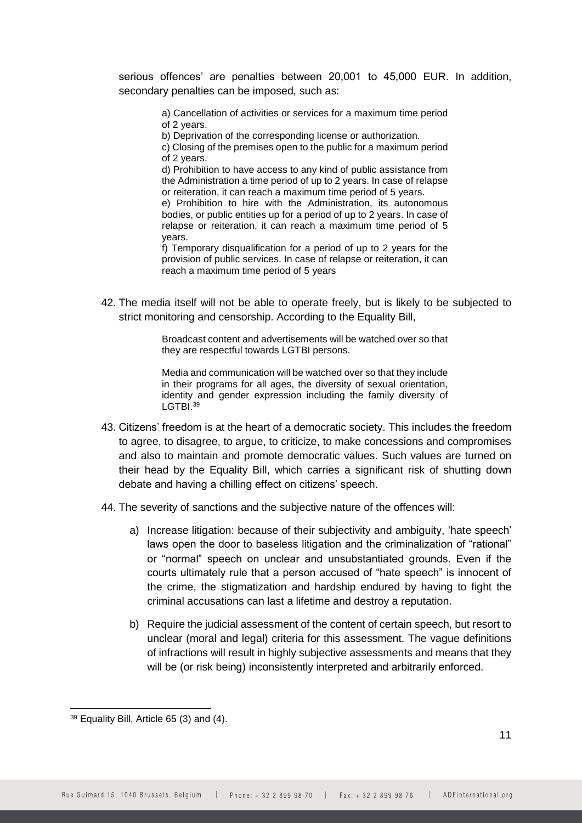serious offences' are penalties between 20,001 to 45,000 EUR. In addition, secondary penalties can be imposed, such as:

> a) Cancellation of activities or services for a maximum time period of 2 years.

b) Deprivation of the corresponding license or authorization.

c) Closing of the premises open to the public for a maximum period of 2 years.

d) Prohibition to have access to any kind of public assistance from the Administration a time period of up to 2 years. In case of relapse or reiteration, it can reach a maximum time period of 5 years.

e) Prohibition to hire with the Administration, its autonomous bodies, or public entities up for a period of up to 2 years. In case of relapse or reiteration, it can reach a maximum time period of 5 years.

f) Temporary disqualification for a period of up to 2 years for the provision of public services. In case of relapse or reiteration, it can reach a maximum time period of 5 years

42. The media itself will not be able to operate freely, but is likely to be subjected to strict monitoring and censorship. According to the Equality Bill,

> Broadcast content and advertisements will be watched over so that they are respectful towards LGTBI persons.

> Media and communication will be watched over so that they include in their programs for all ages, the diversity of sexual orientation, identity and gender expression including the family diversity of LGTBI.<sup>39</sup>

- 43. Citizens' freedom is at the heart of a democratic society. This includes the freedom to agree, to disagree, to argue, to criticize, to make concessions and compromises and also to maintain and promote democratic values. Such values are turned on their head by the Equality Bill, which carries a significant risk of shutting down debate and having a chilling effect on citizens' speech.
- 44. The severity of sanctions and the subjective nature of the offences will:
	- a) Increase litigation: because of their subjectivity and ambiguity, 'hate speech' laws open the door to baseless litigation and the criminalization of "rational" or "normal" speech on unclear and unsubstantiated grounds. Even if the courts ultimately rule that a person accused of "hate speech" is innocent of the crime, the stigmatization and hardship endured by having to fight the criminal accusations can last a lifetime and destroy a reputation.
	- b) Require the judicial assessment of the content of certain speech, but resort to unclear (moral and legal) criteria for this assessment. The vague definitions of infractions will result in highly subjective assessments and means that they will be (or risk being) inconsistently interpreted and arbitrarily enforced.

<sup>39</sup> Equality Bill, Article 65 (3) and (4).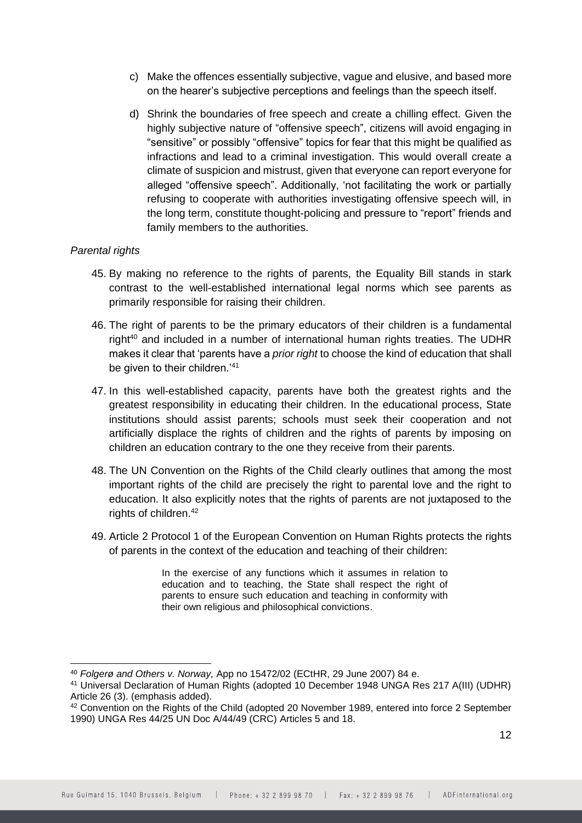- c) Make the offences essentially subjective, vague and elusive, and based more on the hearer's subjective perceptions and feelings than the speech itself.
- d) Shrink the boundaries of free speech and create a chilling effect. Given the highly subjective nature of "offensive speech", citizens will avoid engaging in "sensitive" or possibly "offensive" topics for fear that this might be qualified as infractions and lead to a criminal investigation. This would overall create a climate of suspicion and mistrust, given that everyone can report everyone for alleged "offensive speech". Additionally, 'not facilitating the work or partially refusing to cooperate with authorities investigating offensive speech will, in the long term, constitute thought-policing and pressure to "report" friends and family members to the authorities.

### *Parental rights*

-

- 45. By making no reference to the rights of parents, the Equality Bill stands in stark contrast to the well-established international legal norms which see parents as primarily responsible for raising their children.
- 46. The right of parents to be the primary educators of their children is a fundamental right<sup>40</sup> and included in a number of international human rights treaties. The UDHR makes it clear that 'parents have a *prior right* to choose the kind of education that shall be given to their children.<sup>'41</sup>
- 47. In this well-established capacity, parents have both the greatest rights and the greatest responsibility in educating their children. In the educational process, State institutions should assist parents; schools must seek their cooperation and not artificially displace the rights of children and the rights of parents by imposing on children an education contrary to the one they receive from their parents.
- 48. The UN Convention on the Rights of the Child clearly outlines that among the most important rights of the child are precisely the right to parental love and the right to education. It also explicitly notes that the rights of parents are not juxtaposed to the rights of children.<sup>42</sup>
- 49. Article 2 Protocol 1 of the European Convention on Human Rights protects the rights of parents in the context of the education and teaching of their children:

In the exercise of any functions which it assumes in relation to education and to teaching, the State shall respect the right of parents to ensure such education and teaching in conformity with their own religious and philosophical convictions.

<sup>40</sup> *Folgerø and Others v. Norway,* App no 15472/02 (ECtHR, 29 June 2007) 84 e.

<sup>41</sup> Universal Declaration of Human Rights (adopted 10 December 1948 UNGA Res 217 A(III) (UDHR) Article 26 (3). (emphasis added).

<sup>42</sup> Convention on the Rights of the Child (adopted 20 November 1989, entered into force 2 September 1990) UNGA Res 44/25 UN Doc A/44/49 (CRC) Articles 5 and 18.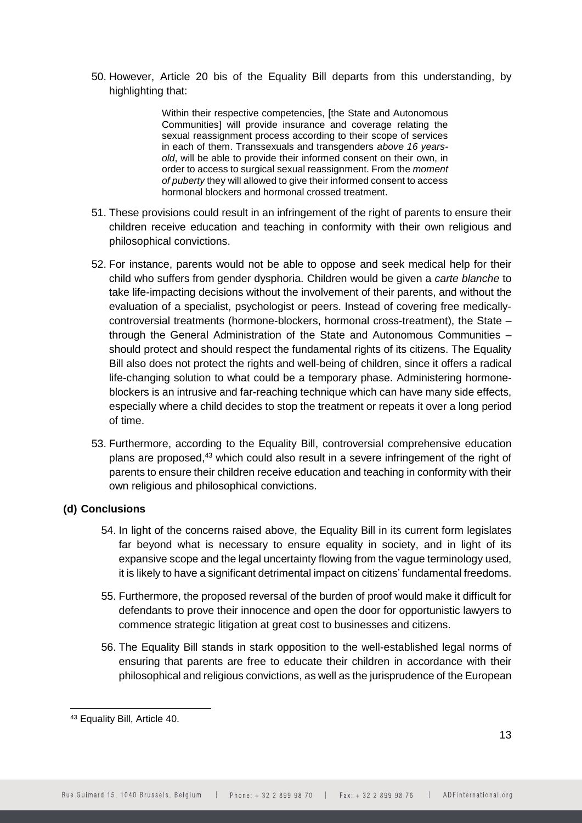50. However, Article 20 bis of the Equality Bill departs from this understanding, by highlighting that:

> Within their respective competencies, [the State and Autonomous Communities] will provide insurance and coverage relating the sexual reassignment process according to their scope of services in each of them. Transsexuals and transgenders *above 16 yearsold*, will be able to provide their informed consent on their own, in order to access to surgical sexual reassignment. From the *moment of puberty* they will allowed to give their informed consent to access hormonal blockers and hormonal crossed treatment.

- 51. These provisions could result in an infringement of the right of parents to ensure their children receive education and teaching in conformity with their own religious and philosophical convictions.
- 52. For instance, parents would not be able to oppose and seek medical help for their child who suffers from gender dysphoria. Children would be given a *carte blanche* to take life-impacting decisions without the involvement of their parents, and without the evaluation of a specialist, psychologist or peers. Instead of covering free medicallycontroversial treatments (hormone-blockers, hormonal cross-treatment), the State – through the General Administration of the State and Autonomous Communities – should protect and should respect the fundamental rights of its citizens. The Equality Bill also does not protect the rights and well-being of children, since it offers a radical life-changing solution to what could be a temporary phase. Administering hormoneblockers is an intrusive and far-reaching technique which can have many side effects, especially where a child decides to stop the treatment or repeats it over a long period of time.
- 53. Furthermore, according to the Equality Bill, controversial comprehensive education plans are proposed.<sup>43</sup> which could also result in a severe infringement of the right of parents to ensure their children receive education and teaching in conformity with their own religious and philosophical convictions.

# **(d) Conclusions**

- 54. In light of the concerns raised above, the Equality Bill in its current form legislates far beyond what is necessary to ensure equality in society, and in light of its expansive scope and the legal uncertainty flowing from the vague terminology used, it is likely to have a significant detrimental impact on citizens' fundamental freedoms.
- 55. Furthermore, the proposed reversal of the burden of proof would make it difficult for defendants to prove their innocence and open the door for opportunistic lawyers to commence strategic litigation at great cost to businesses and citizens.
- 56. The Equality Bill stands in stark opposition to the well-established legal norms of ensuring that parents are free to educate their children in accordance with their philosophical and religious convictions, as well as the jurisprudence of the European

<sup>43</sup> Equality Bill, Article 40.